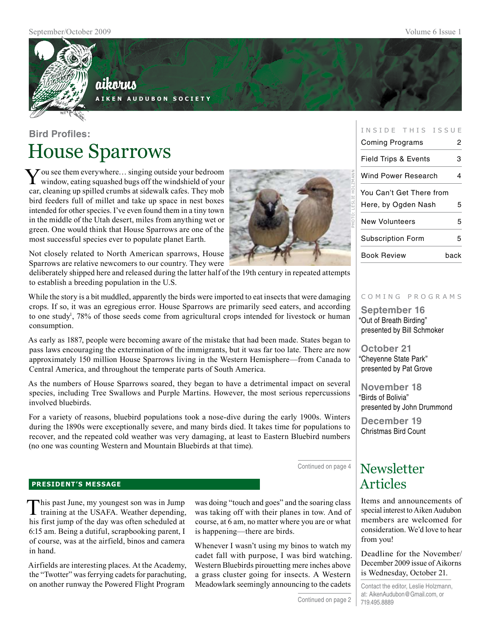

# aikorus

**A i k e n A u d u b o n S o c i e t y**

# **Bird Profiles:** House Sparrows

You see them everywhere... singing outside your bedroom window, eating squashed bugs off the windshield of your car, cleaning up spilled crumbs at sidewalk cafes. They mob bird feeders full of millet and take up space in nest boxes intended for other species. I've even found them in a tiny town in the middle of the Utah desert, miles from anything wet or green. One would think that House Sparrows are one of the most successful species ever to populate planet Earth.

Not closely related to North American sparrows, House Sparrows are relative newcomers to our country. They were

deliberately shipped here and released during the latter half of the 19th century in repeated attempts to establish a breeding population in the U.S.

While the story is a bit muddled, apparently the birds were imported to eat insects that were damaging crops. If so, it was an egregious error. House Sparrows are primarily seed eaters, and according to one study<sup>1</sup>, 78% of those seeds come from agricultural crops intended for livestock or human consumption.

As early as 1887, people were becoming aware of the mistake that had been made. States began to pass laws encouraging the extermination of the immigrants, but it was far too late. There are now approximately 150 million House Sparrows living in the Western Hemisphere—from Canada to Central America, and throughout the temperate parts of South America.

As the numbers of House Sparrows soared, they began to have a detrimental impact on several species, including Tree Swallows and Purple Martins. However, the most serious repercussions involved bluebirds.

For a variety of reasons, bluebird populations took a nose-dive during the early 1900s. Winters during the 1890s were exceptionally severe, and many birds died. It takes time for populations to recover, and the repeated cold weather was very damaging, at least to Eastern Bluebird numbers (no one was counting Western and Mountain Bluebirds at that time).

Continued on page 4

Continued on page 2

#### **PRESIDENT'S MESSAGE**

This past June, my youngest son was in Jump training at the USAFA. Weather depending, his first jump of the day was often scheduled at 6:15 am. Being a dutiful, scrapbooking parent, I of course, was at the airfield, binos and camera in hand.

Airfields are interesting places. At the Academy, the "Twotter" was ferrying cadets for parachuting, on another runway the Powered Flight Program

was doing "touch and goes" and the soaring class was taking off with their planes in tow. And of course, at 6 am, no matter where you are or what is happening—there are birds.

Whenever I wasn't using my binos to watch my cadet fall with purpose, I was bird watching. Western Bluebirds pirouetting mere inches above a grass cluster going for insects. A Western Meadowlark seemingly announcing to the cadets

| Coming Programs                 | 2    |
|---------------------------------|------|
| <b>Field Trips &amp; Events</b> | з    |
| Wind Power Research             | 4    |
| You Can't Get There from        |      |
| Here, by Ogden Nash             | 5    |
| New Volunteers                  | 5    |
| <b>Subscription Form</b>        | 5    |
| Book Review                     | back |

photo: Leslie holzmann

INSIDE THIS ISSUE

#### c o m i n g p r o g r a m s

**September 16** "Out of Breath Birding" presented by Bill Schmoker

**October 21** "Cheyenne State Park" presented by Pat Grove

**November 18** "Birds of Bolivia" presented by John Drummond

**December 19** Christmas Bird Count

# Newsletter<br>Articles

Items and announcements of special interest to Aiken Audubon members are welcomed for consideration. We'd love to hear from you!

Deadline for the November/ December 2009 issue of Aikorns is Wednesday, October 21.

Contact the editor, Leslie Holzmann, at: AikenAudubon@Gmail.com, or 719.495.8889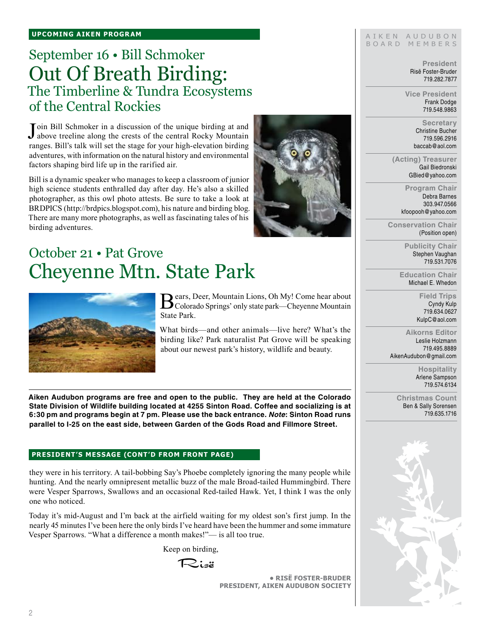# September 16 • Bill Schmoker Out Of Breath Birding: The Timberline & Tundra Ecosystems of the Central Rockies

Join Bill Schmoker in a discussion of the unique birding at and<br>Jabove treeline along the crests of the central Rocky Mountain **T**oin Bill Schmoker in a discussion of the unique birding at and ranges. Bill's talk will set the stage for your high-elevation birding adventures, with information on the natural history and environmental factors shaping bird life up in the rarified air.

Bill is a dynamic speaker who manages to keep a classroom of junior high science students enthralled day after day. He's also a skilled photographer, as this owl photo attests. Be sure to take a look at BRDPICS (http://brdpics.blogspot.com), his nature and birding blog. There are many more photographs, as well as fascinating tales of his birding adventures.

# October 21 • Pat Grove Cheyenne Mtn. State Park



Bears, Deer, Mountain Lions, Oh My! Come hear about<br>Colorado Springs' only state park—Cheyenne Mountain State Park.

What birds—and other animals—live here? What's the birding like? Park naturalist Pat Grove will be speaking about our newest park's history, wildlife and beauty.

**Aiken Audubon programs are free and open to the public. They are held at the Colorado State Division of Wildlife building located at 4255 Sinton Road. Coffee and socializing is at 6:30 pm and programs begin at 7 pm. Please use the back entrance.** *Note***: Sinton Road runs parallel to I-25 on the east side, between Garden of the Gods Road and Fillmore Street.**

#### **president's message (cont'd from front page)**

they were in his territory. A tail-bobbing Say's Phoebe completely ignoring the many people while hunting. And the nearly omnipresent metallic buzz of the male Broad-tailed Hummingbird. There were Vesper Sparrows, Swallows and an occasional Red-tailed Hawk. Yet, I think I was the only one who noticed.

Today it's mid-August and I'm back at the airfield waiting for my oldest son's first jump. In the nearly 45 minutes I've been here the only birds I've heard have been the hummer and some immature Vesper Sparrows. "What a difference a month makes!"— is all too true.

Keep on birding,

Risë

**• RisË Foster-Bruder President, Aiken Audubon Society**

#### AIKEN AUDUBON B O A R D M E M B E R S

**President** Risë Foster-Bruder 719.282.7877

**Vice President** Frank Dodge 719.548.9863

> **Secretary** Christine Bucher 719.596.2916 baccab@aol.com

**(Acting) Treasurer** Gail Biedronski GBied@yahoo.com

> **Program Chair** Debra Barnes 303.947.0566 kfoopooh@yahoo.com

**Conservation Chair** (Position open)

> **Publicity Chair** Stephen Vaughan 719.531.7076

**Education Chair** Michael E. Whedon

> **Field Trips** Cyndy Kulp 719.634.0627 KulpC@aol.com

**Aikorns Editor** Leslie Holzmann 719.495.8889 AikenAudubon@gmail.com

> **Hospitality** Arlene Sampson 719.574.6134

**Christmas Count** Ben & Sally Sorensen 719.635.1716

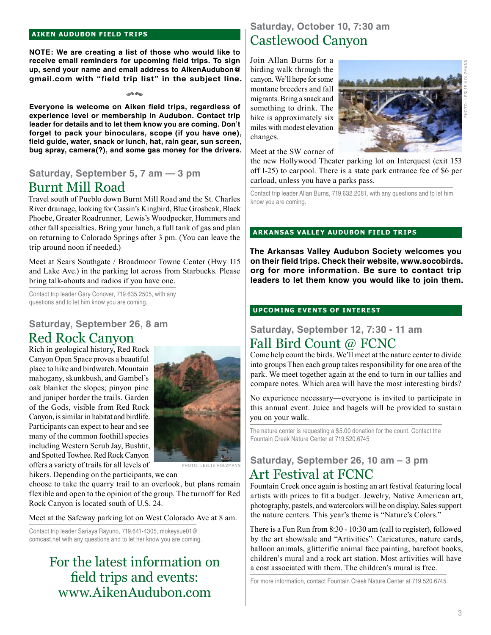#### **aiken audubon FIELD TRIPS**

**NOTE: We are creating a list of those who would like to receive email reminders for upcoming field trips. To sign up, send your name and email address to AikenAudubon@ gmail.com with "field trip list" in the subject line.**

rs

**Everyone is welcome on Aiken field trips, regardless of experience level or membership in Audubon. Contact trip leader for details and to let them know you are coming. Don't forget to pack your binoculars, scope (if you have one), field guide, water, snack or lunch, hat, rain gear, sun screen, bug spray, camera(?), and some gas money for the drivers.** 

### **Saturday, September 5, 7 am — 3 pm** Burnt Mill Road

# Travel south of Pueblo down Burnt Mill Road and the St. Charles

River drainage, looking for Cassin's Kingbird, Blue Grosbeak, Black Phoebe, Greater Roadrunner, Lewis's Woodpecker, Hummers and other fall specialties. Bring your lunch, a full tank of gas and plan on returning to Colorado Springs after 3 pm. (You can leave the trip around noon if needed.)

Meet at Sears Southgate / Broadmoor Towne Center (Hwy 115 and Lake Ave.) in the parking lot across from Starbucks. Please bring talk-abouts and radios if you have one.

Contact trip leader Gary Conover, 719.635.2505, with any questions and to let him know you are coming.

### **Saturday, September 26, 8 am** Red Rock Canyon

Rich in geological history, Red Rock Canyon Open Space proves a beautiful place to hike and birdwatch. Mountain mahogany, skunkbush, and Gambel's oak blanket the slopes; pinyon pine and juniper border the trails. Garden of the Gods, visible from Red Rock Canyon, is similar in habitat and birdlife. Participants can expect to hear and see many of the common foothill species including Western Scrub Jay, Bushtit, and Spotted Towhee. Red Rock Canyon offers a variety of trails for all levels of



HOTO: LESLIE HOLZM

hikers. Depending on the participants, we can

choose to take the quarry trail to an overlook, but plans remain flexible and open to the opinion of the group. The turnoff for Red Rock Canyon is located south of U.S. 24.

Meet at the Safeway parking lot on West Colorado Ave at 8 am.

Contact trip leader Sariaya Rayuno, 719.641-4305, mokeysue01@ comcast.net with any questions and to let her know you are coming.

# For the latest information on field trips and events: www.AikenAudubon.com

### **Saturday, October 10, 7:30 am** Castlewood Canyon

Join Allan Burns for a birding walk through the canyon. We'll hope for some montane breeders and fall migrants. Bring a snack and something to drink. The hike is approximately six miles with modest elevation changes.



Meet at the SW corner of

the new Hollywood Theater parking lot on Interquest (exit 153 off I-25) to carpool. There is a state park entrance fee of \$6 per carload, unless you have a parks pass.

Contact trip leader Allan Burns, 719.632.2081, with any questions and to let him know you are coming.

#### **ark ansas valley audubon FIELD TRIPs**

**The Arkansas Valley Audubon Society welcomes you on their field trips. Check their website, www.socobirds. org for more information. Be sure to contact trip leaders to let them know you would like to join them.**

#### **UPCOMING EVENTS OF INTEREST**

### **Saturday, September 12, 7:30 - 11 am**

### Fall Bird Count @ FCNC

Come help count the birds. We'll meet at the nature center to divide into groups Then each group takes responsibility for one area of the park. We meet together again at the end to turn in our tallies and compare notes. Which area will have the most interesting birds?

No experience necessary—everyone is invited to participate in this annual event. Juice and bagels will be provided to sustain you on your walk.

The nature center is requesting a \$5.00 donation for the count. Contact the Fountain Creek Nature Center at 719.520.6745

### **Saturday, September 26, 10 am – 3 pm** Art Festival at FCNC

Fountain Creek once again is hosting an art festival featuring local artists with prices to fit a budget. Jewelry, Native American art, photography, pastels, and watercolors will be on display. Sales support the nature centers. This year's theme is "Nature's Colors."

There is a Fun Run from 8:30 - 10:30 am (call to register), followed by the art show/sale and "Artivities": Caricatures, nature cards, balloon animals, glitterific animal face painting, barefoot books, children's mural and a rock art station. Most artivities will have a cost associated with them. The children's mural is free.

For more information, contact Fountain Creek Nature Center at 719.520.6745.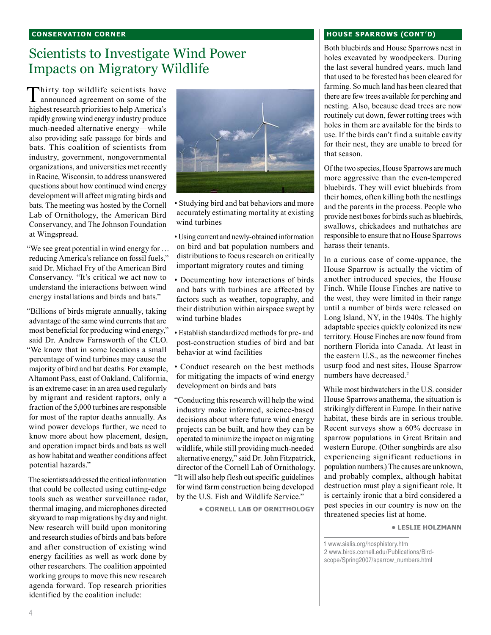#### **conservation corner**

## Scientists to Investigate Wind Power Impacts on Migratory Wildlife

Thirty top wildlife scientists have announced agreement on some of the highest research priorities to help America's rapidly growing wind energy industry produce much-needed alternative energy—while also providing safe passage for birds and bats. This coalition of scientists from industry, government, nongovernmental organizations, and universities met recently in Racine, Wisconsin, to address unanswered questions about how continued wind energy development will affect migrating birds and bats. The meeting was hosted by the Cornell Lab of Ornithology, the American Bird Conservancy, and The Johnson Foundation at Wingspread.

"We see great potential in wind energy for … reducing America's reliance on fossil fuels," said Dr. Michael Fry of the American Bird Conservancy. "It's critical we act now to understand the interactions between wind energy installations and birds and bats."

"Billions of birds migrate annually, taking advantage of the same wind currents that are most beneficial for producing wind energy," said Dr. Andrew Farnsworth of the CLO. "We know that in some locations a small percentage of wind turbines may cause the majority of bird and bat deaths. For example, Altamont Pass, east of Oakland, California, is an extreme case: in an area used regularly by migrant and resident raptors, only a fraction of the 5,000 turbines are responsible for most of the raptor deaths annually. As wind power develops further, we need to know more about how placement, design, and operation impact birds and bats as well as how habitat and weather conditions affect potential hazards."

The scientists addressed the critical information that could be collected using cutting-edge tools such as weather surveillance radar, thermal imaging, and microphones directed skyward to map migrations by day and night. New research will build upon monitoring and research studies of birds and bats before and after construction of existing wind energy facilities as well as work done by other researchers. The coalition appointed working groups to move this new research agenda forward. Top research priorities identified by the coalition include:



- Studying bird and bat behaviors and more accurately estimating mortality at existing wind turbines
- Using current and newly-obtained information on bird and bat population numbers and distributions to focus research on critically important migratory routes and timing
- Documenting how interactions of birds and bats with turbines are affected by factors such as weather, topography, and their distribution within airspace swept by wind turbine blades
- Establish standardized methods for pre- and post-construction studies of bird and bat behavior at wind facilities
- Conduct research on the best methods for mitigating the impacts of wind energy development on birds and bats
- "Conducting this research will help the wind industry make informed, science-based decisions about where future wind energy projects can be built, and how they can be operated to minimize the impact on migrating wildlife, while still providing much-needed alternative energy," said Dr. John Fitzpatrick, director of the Cornell Lab of Ornithology. "It will also help flesh out specific guidelines for wind farm construction being developed by the U.S. Fish and Wildlife Service."

**• Cornell lab of ornithology**

#### **house sparrows (cont'd)**

Both bluebirds and House Sparrows nest in holes excavated by woodpeckers. During the last several hundred years, much land that used to be forested has been cleared for farming. So much land has been cleared that there are few trees available for perching and nesting. Also, because dead trees are now routinely cut down, fewer rotting trees with holes in them are available for the birds to use. If the birds can't find a suitable cavity for their nest, they are unable to breed for that season.

Of the two species, House Sparrows are much more aggressive than the even-tempered bluebirds. They will evict bluebirds from their homes, often killing both the nestlings and the parents in the process. People who provide nest boxes for birds such as bluebirds, swallows, chickadees and nuthatches are responsible to ensure that no House Sparrows harass their tenants.

In a curious case of come-uppance, the House Sparrow is actually the victim of another introduced species, the House Finch. While House Finches are native to the west, they were limited in their range until a number of birds were released on Long Island, NY, in the 1940s. The highly adaptable species quickly colonized its new territory. House Finches are now found from northern Florida into Canada. At least in the eastern U.S., as the newcomer finches usurp food and nest sites, House Sparrow numbers have decreased.2

While most birdwatchers in the U.S. consider House Sparrows anathema, the situation is strikingly different in Europe. In their native habitat, these birds are in serious trouble. Recent surveys show a 60% decrease in sparrow populations in Great Britain and western Europe. (Other songbirds are also experiencing significant reductions in population numbers.) The causes are unknown, and probably complex, although habitat destruction must play a significant role. It is certainly ironic that a bird considered a pest species in our country is now on the threatened species list at home.

**• Leslie Holzmann**

1 www.sialis.org/hosphistory.htm 2 www.birds.cornell.edu/Publications/Birdscope/Spring2007/sparrow\_numbers.html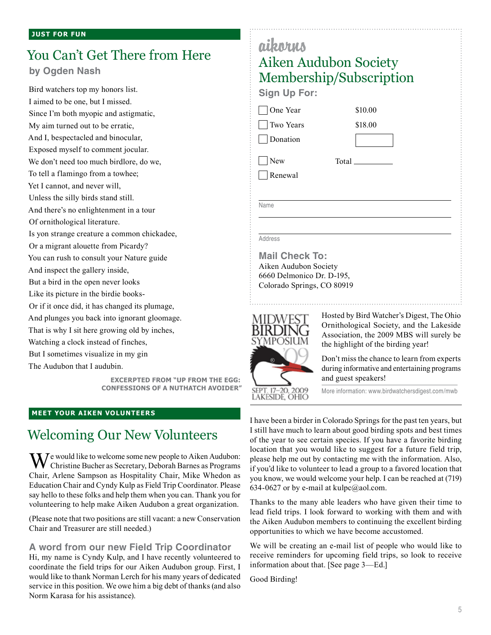# You Can't Get There from Here

**by Ogden Nash**

Bird watchers top my honors list. I aimed to be one, but I missed. Since I'm both myopic and astigmatic, My aim turned out to be erratic, And I, bespectacled and binocular, Exposed myself to comment jocular. We don't need too much birdlore, do we, To tell a flamingo from a towhee; Yet I cannot, and never will, Unless the silly birds stand still. And there's no enlightenment in a tour Of ornithological literature. Is yon strange creature a common chickadee, Or a migrant alouette from Picardy? You can rush to consult your Nature guide And inspect the gallery inside, But a bird in the open never looks Like its picture in the birdie books-Or if it once did, it has changed its plumage, And plunges you back into ignorant gloomage. That is why I sit here growing old by inches, Watching a clock instead of finches, But I sometimes visualize in my gin The Audubon that I audubin.

> **ExCerpted from "Up From the Egg: Confessions of a Nuthatch Avoider"**

#### **Meet your Aiken volunteers**

### Welcoming Our New Volunteers

 $\mathbf{W}^{\text{e}}$  would like to welcome some new people to Aiken Audubon: Christine Bucher as Secretary, Deborah Barnes as Programs Chair, Arlene Sampson as Hospitality Chair, Mike Whedon as Education Chair and Cyndy Kulp as Field Trip Coordinator. Please say hello to these folks and help them when you can. Thank you for volunteering to help make Aiken Audubon a great organization.

(Please note that two positions are still vacant: a new Conservation Chair and Treasurer are still needed.)

#### **A word from our new Field Trip Coordinator**

Hi, my name is Cyndy Kulp, and I have recently volunteered to coordinate the field trips for our Aiken Audubon group. First, I would like to thank Norman Lerch for his many years of dedicated service in this position. We owe him a big debt of thanks (and also Norm Karasa for his assistance).

| aikorns                    |                                                                                       |  |
|----------------------------|---------------------------------------------------------------------------------------|--|
|                            | Aiken Audubon Society                                                                 |  |
|                            | Membership/Subscription                                                               |  |
| <b>Sign Up For:</b>        |                                                                                       |  |
| One Year                   | \$10.00                                                                               |  |
| Two Years                  | \$18.00                                                                               |  |
| Donation                   |                                                                                       |  |
| New                        | Total                                                                                 |  |
| Renewal                    |                                                                                       |  |
|                            |                                                                                       |  |
| Name                       |                                                                                       |  |
|                            |                                                                                       |  |
| Address                    |                                                                                       |  |
| <b>Mail Check To:</b>      |                                                                                       |  |
| Aiken Audubon Society      |                                                                                       |  |
| 6660 Delmonico Dr. D-195,  |                                                                                       |  |
| Colorado Springs, CO 80919 |                                                                                       |  |
|                            |                                                                                       |  |
|                            | Hosted by Bird Watcher's Digest, The Ohio<br>Ornithological Society, and the Lakeside |  |
|                            | Association, the 2009 MBS will surely be<br>the highlight of the birding year!        |  |
|                            | Don't miss the chance to learn from experts                                           |  |
|                            | during informative and entertaining programs                                          |  |
|                            | and guest speakers!                                                                   |  |

**SEPT** LAKESIDE. OHIO

More information: www.birdwatchersdigest.com/mwb

I have been a birder in Colorado Springs for the past ten years, but I still have much to learn about good birding spots and best times of the year to see certain species. If you have a favorite birding location that you would like to suggest for a future field trip, please help me out by contacting me with the information. Also, if you'd like to volunteer to lead a group to a favored location that you know, we would welcome your help. I can be reached at (719) 634-0627 or by e-mail at kulpc@aol.com.

Thanks to the many able leaders who have given their time to lead field trips. I look forward to working with them and with the Aiken Audubon members to continuing the excellent birding opportunities to which we have become accustomed.

We will be creating an e-mail list of people who would like to receive reminders for upcoming field trips, so look to receive information about that. [See page 3—Ed.]

Good Birding!